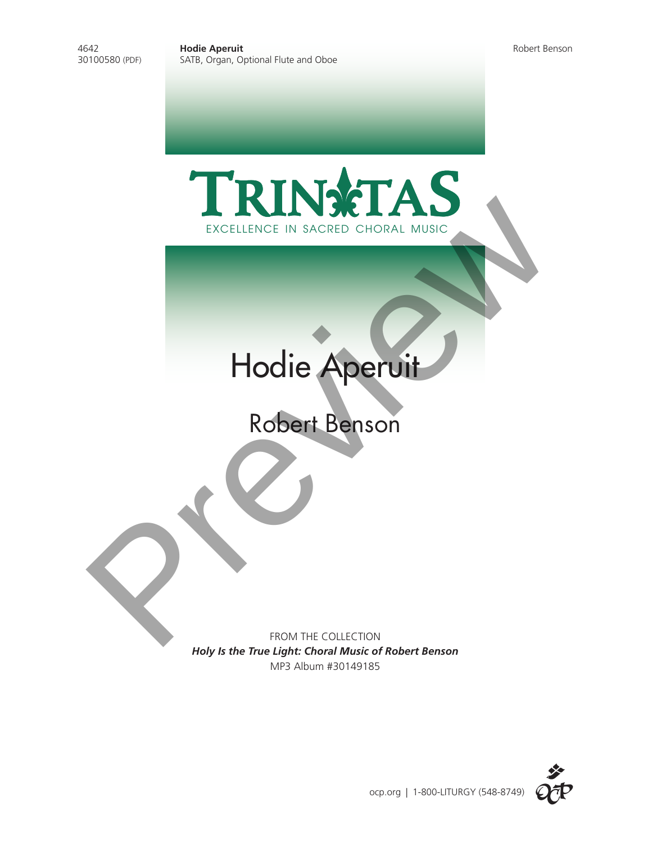

## Hodie Aperuit

FROM THE COLLECTION *Holy Is the True Light: Choral Music of Robert Benson* MP3 Album #30149185

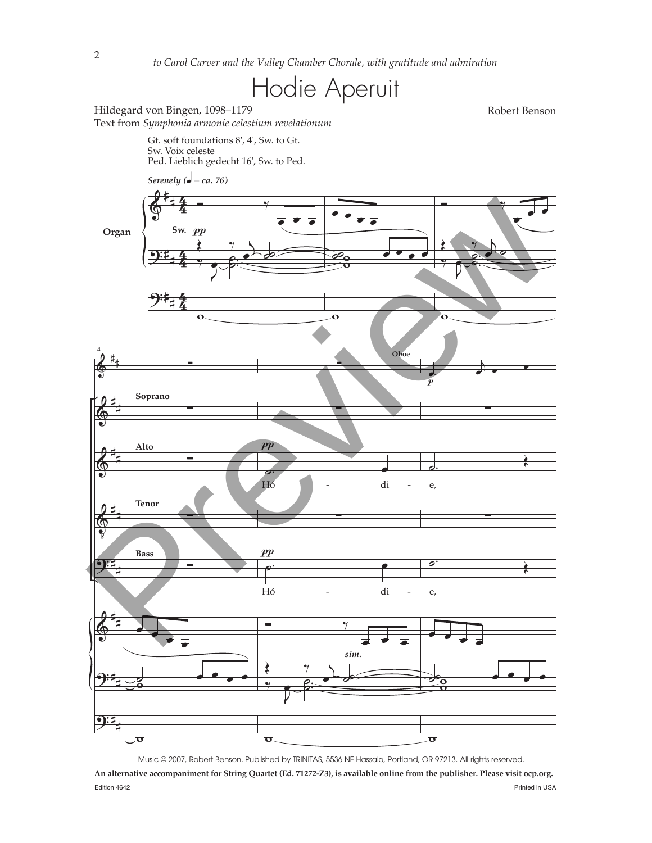

Hildegard von Bingen, 1098–1179

Robert Benson

Text from *Symphonia armonie celestium revelationum*

Gt. soft foundations 8', 4', Sw. to Gt. Sw. Voix celeste Ped. Lieblich gedecht 16', Sw. to Ped.



Music © 2007, Robert Benson. Published by TRINITAS, 5536 NE Hassalo, Portland, OR 97213. All rights reserved.

An alternative accompaniment for String Quartet (Ed. 71272-Z3), is available online from the publisher. Please visit ocp.org. Edition 4642 Printed in USA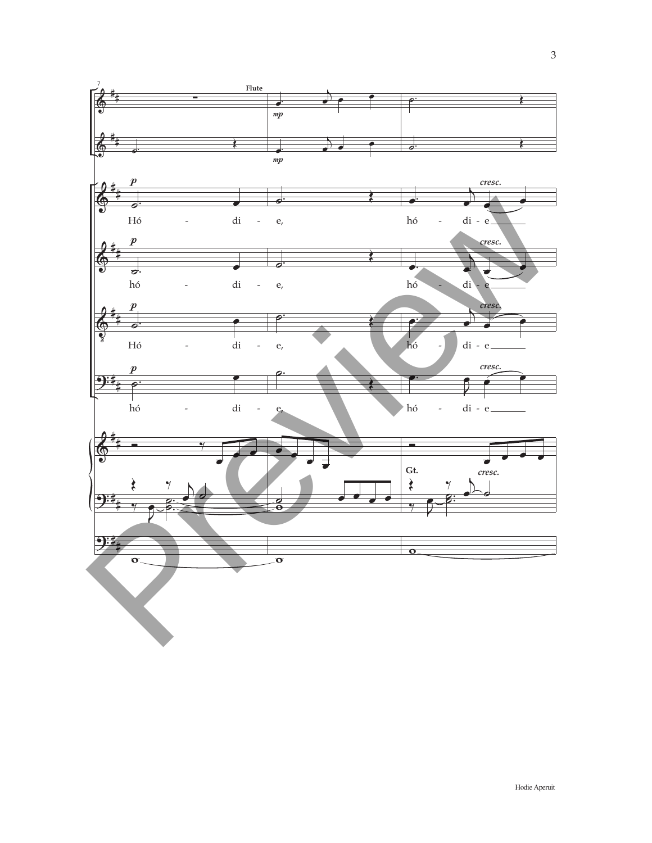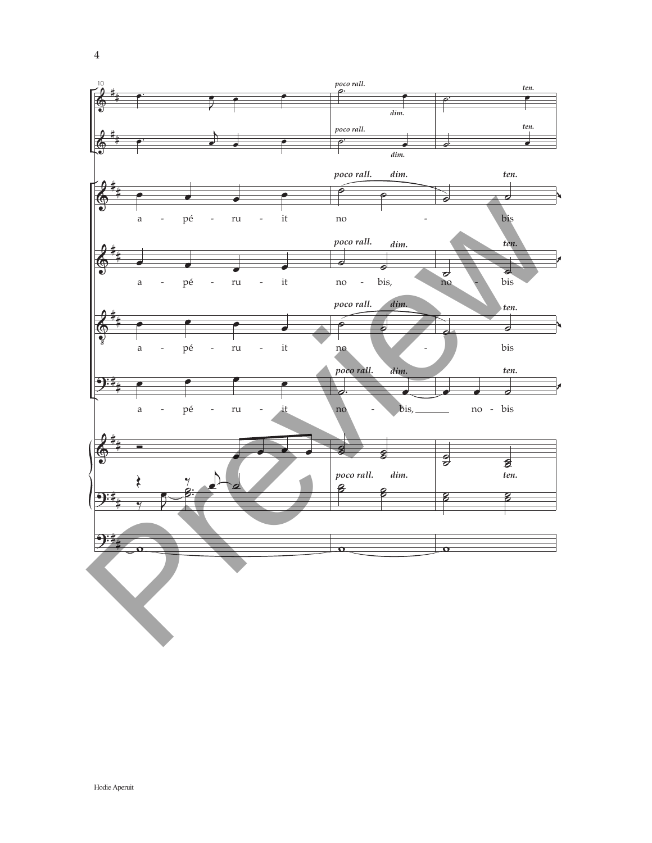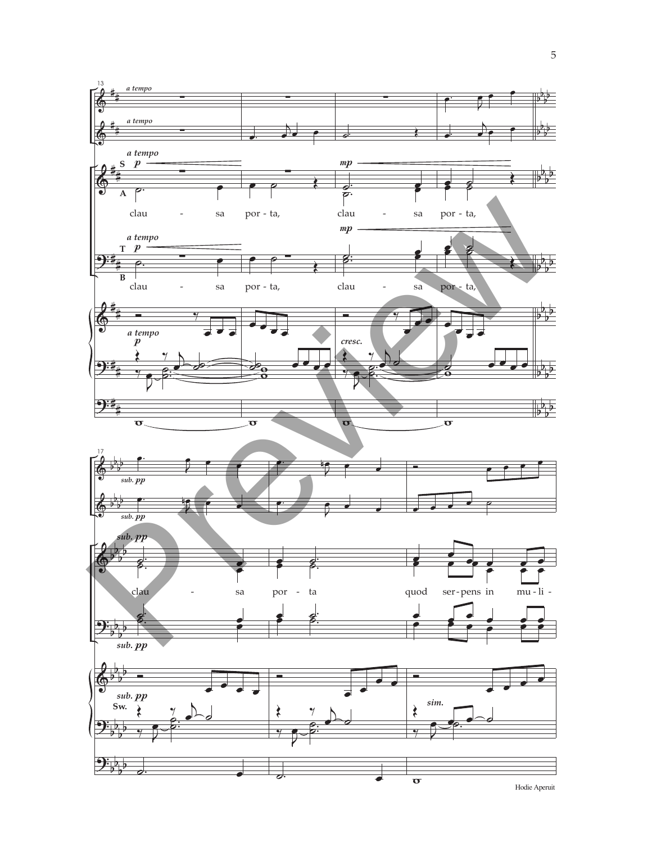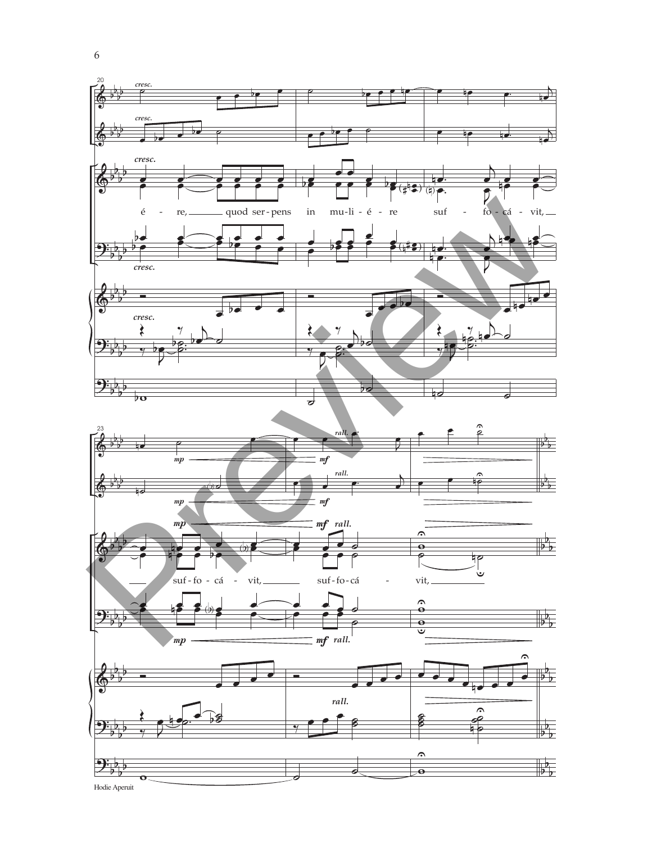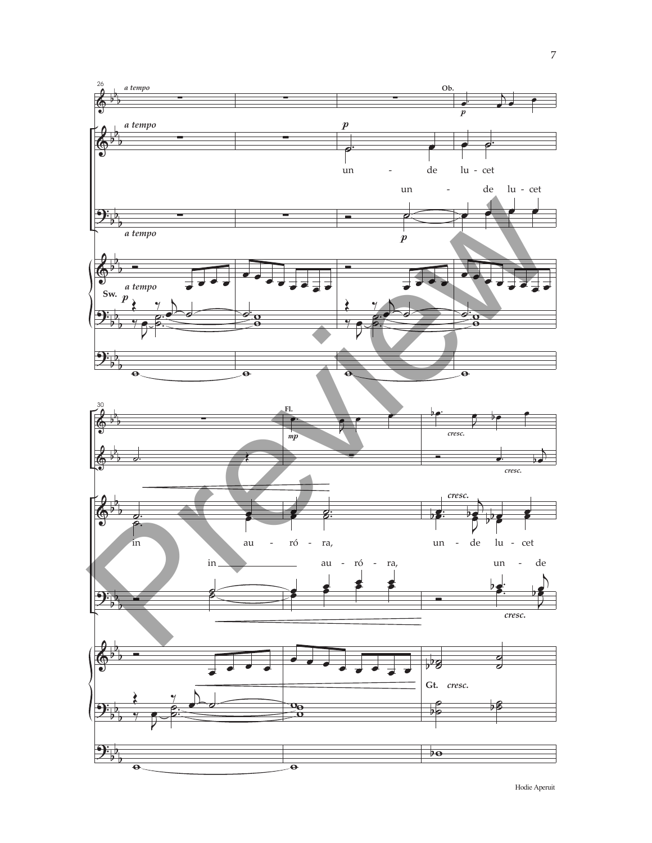

7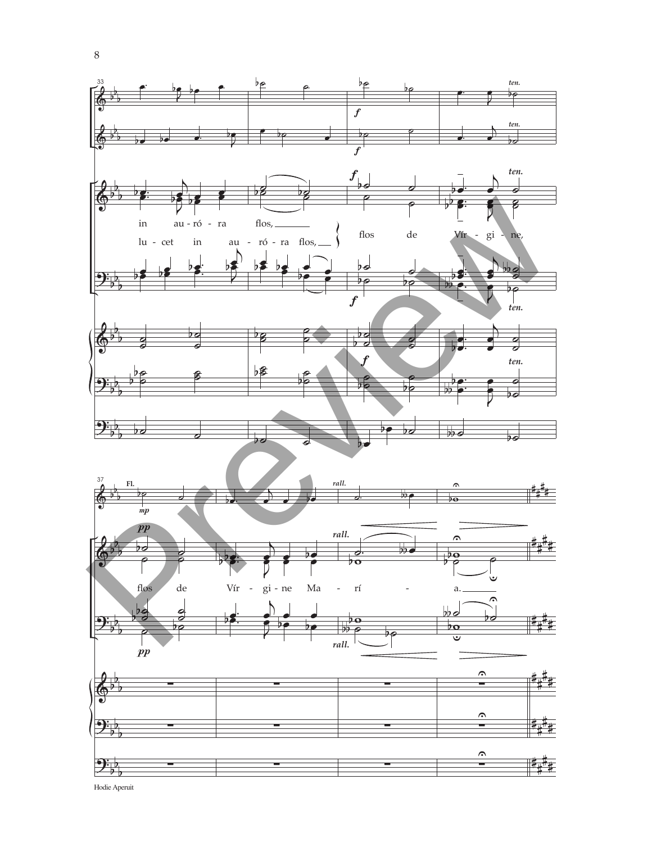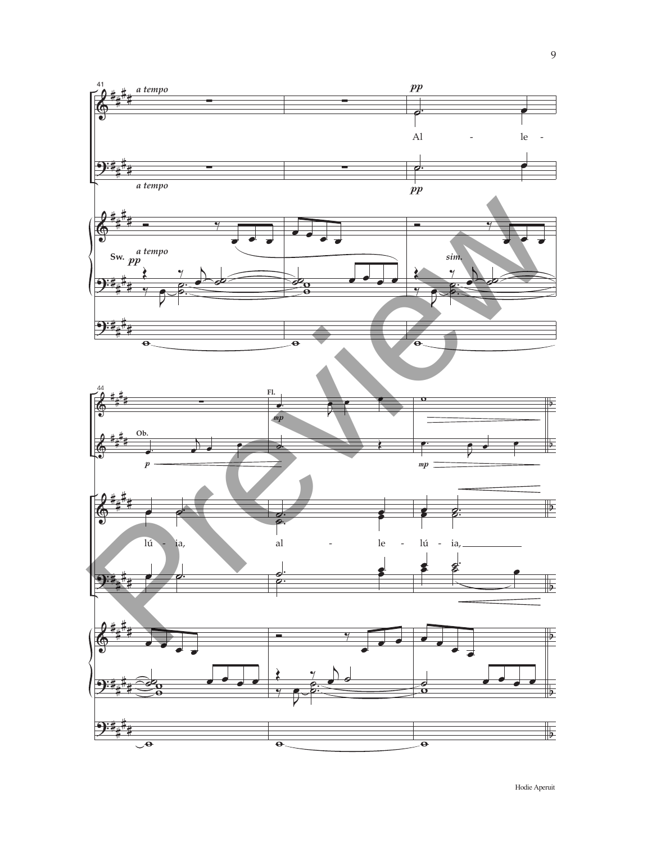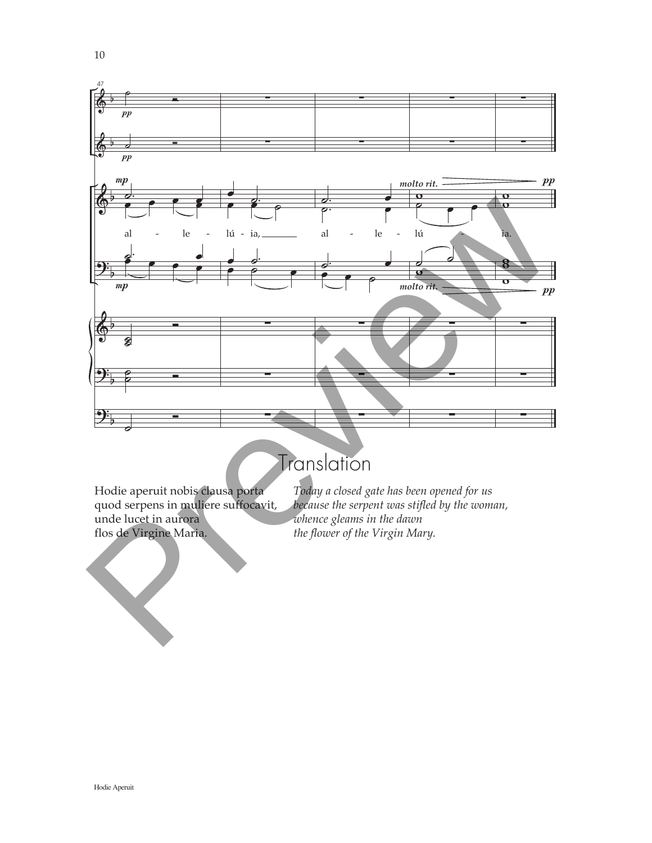

Hodie aperuit nobis clausa porta quod serpens in muliere suffocavit, unde lucet in aurora flos de Virgine Maria.

*Today a closed gate has been opened for us because the serpent was stifled by the woman, whence gleams in the dawn the flower of the Virgin Mary.*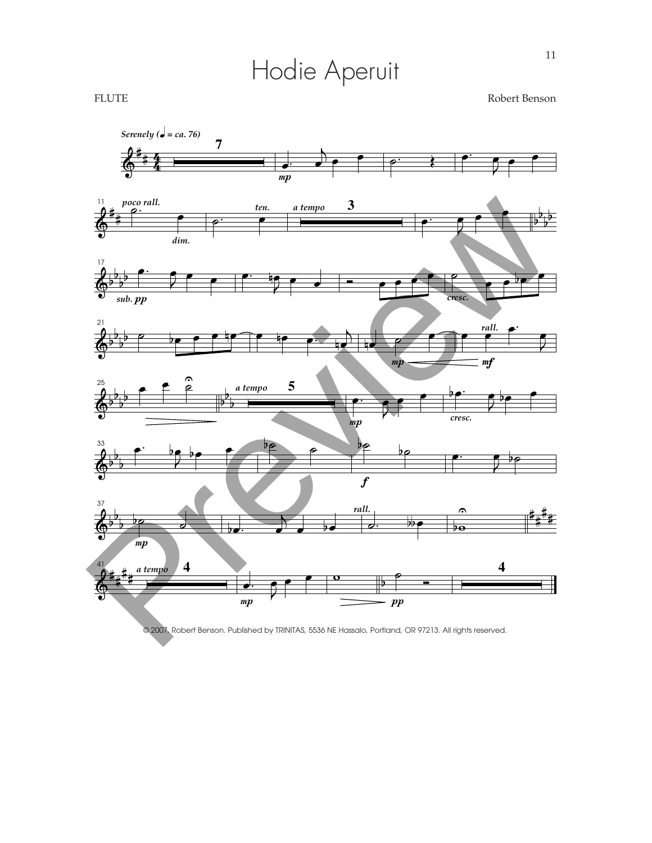FLUTE Robert Benson